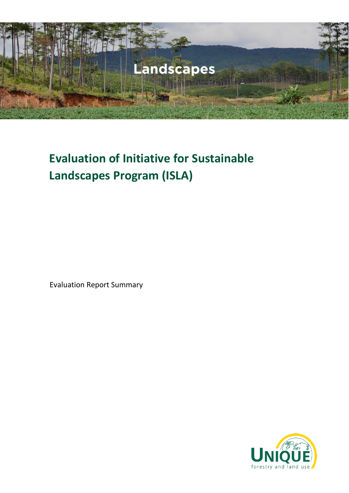

# **Evaluation of Initiative for Sustainable Landscapes Program (ISLA)**

Evaluation Report Summary

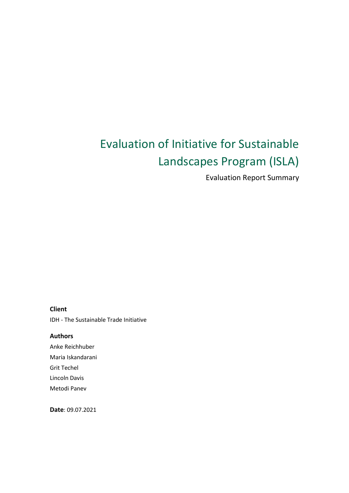# Evaluation of Initiative for Sustainable Landscapes Program (ISLA)

Evaluation Report Summary

#### **Client**

IDH - The Sustainable Trade Initiative

**Authors**  Anke Reichhuber Maria Iskandarani Grit Techel Lincoln Davis Metodi Panev

**Date**: 09.07.2021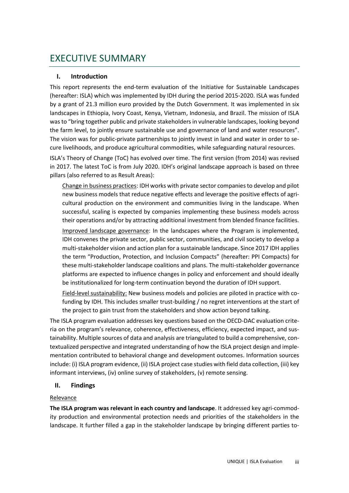# EXECUTIVE SUMMARY

# **I. Introduction**

This report represents the end-term evaluation of the Initiative for Sustainable Landscapes (hereafter: ISLA) which was implemented by IDH during the period 2015-2020. ISLA was funded by a grant of 21.3 million euro provided by the Dutch Government. It was implemented in six landscapes in Ethiopia, Ivory Coast, Kenya, Vietnam, Indonesia, and Brazil. The mission of ISLA was to "bring together public and private stakeholders in vulnerable landscapes, looking beyond the farm level, to jointly ensure sustainable use and governance of land and water resources". The vision was for public-private partnerships to jointly invest in land and water in order to secure livelihoods, and produce agricultural commodities, while safeguarding natural resources.

ISLA's Theory of Change (ToC) has evolved over time. The first version (from 2014) was revised in 2017. The latest ToC is from July 2020. IDH's original landscape approach is based on three pillars (also referred to as Result Areas):

Change in business practices: IDH works with private sector companies to develop and pilot new business models that reduce negative effects and leverage the positive effects of agricultural production on the environment and communities living in the landscape. When successful, scaling is expected by companies implementing these business models across their operations and/or by attracting additional investment from blended finance facilities. Improved landscape governance: In the landscapes where the Program is implemented, IDH convenes the private sector, public sector, communities, and civil society to develop a multi-stakeholder vision and action plan for a sustainable landscape. Since 2017 IDH applies the term "Production, Protection, and Inclusion Compacts" (hereafter: PPI Compacts) for these multi-stakeholder landscape coalitions and plans. The multi-stakeholder governance platforms are expected to influence changes in policy and enforcement and should ideally be institutionalized for long-term continuation beyond the duration of IDH support.

Field-level sustainability: New business models and policies are piloted in practice with cofunding by IDH. This includes smaller trust-building / no regret interventions at the start of the project to gain trust from the stakeholders and show action beyond talking.

The ISLA program evaluation addresses key questions based on the OECD-DAC evaluation criteria on the program's relevance, coherence, effectiveness, efficiency, expected impact, and sustainability. Multiple sources of data and analysis are triangulated to build a comprehensive, contextualized perspective and integrated understanding of how the ISLA project design and implementation contributed to behavioral change and development outcomes. Information sources include: (i) ISLA program evidence, (ii) ISLA project case studies with field data collection, (iii) key informant interviews, (iv) online survey of stakeholders, (v) remote sensing.

# **II. Findings**

# Relevance

**The ISLA program was relevant in each country and landscape**. It addressed key agri-commodity production and environmental protection needs and priorities of the stakeholders in the landscape. It further filled a gap in the stakeholder landscape by bringing different parties to-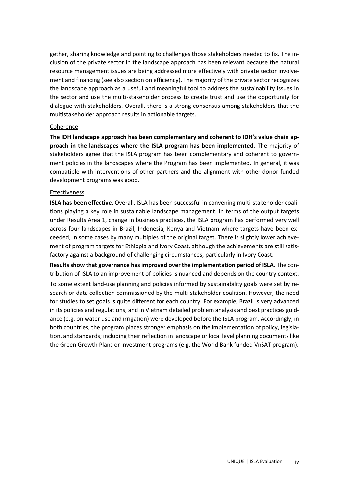gether, sharing knowledge and pointing to challenges those stakeholders needed to fix. The inclusion of the private sector in the landscape approach has been relevant because the natural resource management issues are being addressed more effectively with private sector involvement and financing (see also section on efficiency). The majority of the private sector recognizes the landscape approach as a useful and meaningful tool to address the sustainability issues in the sector and use the multi-stakeholder process to create trust and use the opportunity for dialogue with stakeholders. Overall, there is a strong consensus among stakeholders that the multistakeholder approach results in actionable targets.

#### Coherence

**The IDH landscape approach has been complementary and coherent to IDH's value chain approach in the landscapes where the ISLA program has been implemented.** The majority of stakeholders agree that the ISLA program has been complementary and coherent to government policies in the landscapes where the Program has been implemented. In general, it was compatible with interventions of other partners and the alignment with other donor funded development programs was good.

#### Effectiveness

**ISLA has been effective**. Overall, ISLA has been successful in convening multi-stakeholder coalitions playing a key role in sustainable landscape management. In terms of the output targets under Results Area 1, change in business practices, the ISLA program has performed very well across four landscapes in Brazil, Indonesia, Kenya and Vietnam where targets have been exceeded, in some cases by many multiples of the original target. There is slightly lower achievement of program targets for Ethiopia and Ivory Coast, although the achievements are still satisfactory against a background of challenging circumstances, particularly in Ivory Coast.

**Results show that governance has improved over the implementation period of ISLA**. The contribution of ISLA to an improvement of policies is nuanced and depends on the country context.

To some extent land-use planning and policies informed by sustainability goals were set by research or data collection commissioned by the multi-stakeholder coalition. However, the need for studies to set goals is quite different for each country. For example, Brazil is very advanced in its policies and regulations, and in Vietnam detailed problem analysis and best practices guidance (e.g. on water use and irrigation) were developed before the ISLA program. Accordingly, in both countries, the program places stronger emphasis on the implementation of policy, legislation, and standards; including their reflection in landscape or local level planning documents like the Green Growth Plans or investment programs (e.g. the World Bank funded VnSAT program).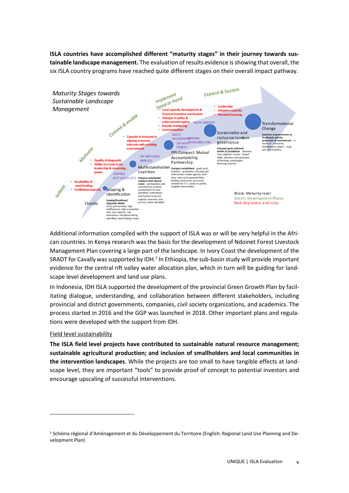**ISLA countries have accomplished different "maturity stages" in their journey towards sustainable landscape management.** The evaluation of results evidence is showing that overall, the six ISLA country programs have reached quite different stages on their overall impact pathway.



Additional information compiled with the support of ISLA was or will be very helpful in the African countries. In Kenya research was the basis for the development of Ndoinet Forest Livestock Management Plan covering a large part of the landscape. In Ivory Coast the development of the SRADT for Cavally was supported by IDH. $<sup>1</sup>$  In Ethiopia, the sub-basin study will provide important</sup> evidence for the central rift valley water allocation plan, which in turn will be guiding for landscape level development and land use plans.

In Indonesia, IDH ISLA supported the development of the provincial Green Growth Plan by facilitating dialogue, understanding, and collaboration between different stakeholders, including provincial and district governments, companies, civil society organizations, and academics. The process started in 2016 and the GGP was launched in 2018. Other important plans and regulations were developed with the support from IDH.

# Field level sustainability

**The ISLA field level projects have contributed to sustainable natural resource management; sustainable agricultural production; and inclusion of smallholders and local communities in the intervention landscapes**. While the projects are too small to have tangible effects at landscape level, they are important "tools" to provide proof of concept to potential investors and encourage upscaling of successful interventions.

<sup>1</sup> Schéma régional d'Aménagement et du Développement du Territoire (English: Regional Land Use Planning and Development Plan)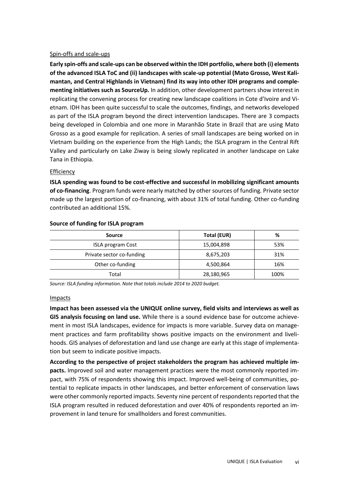#### Spin-offs and scale-ups

**Early spin-offs and scale-ups can be observed within the IDH portfolio, where both (i) elements of the advanced ISLA ToC and (ii) landscapes with scale-up potential (Mato Grosso, West Kalimantan, and Central Highlands in Vietnam) find its way into other IDH programs and complementing initiatives such as SourceUp.** In addition, other development partners show interest in replicating the convening process for creating new landscape coalitions in Cote d'Ivoire and Vietnam. IDH has been quite successful to scale the outcomes, findings, and networks developed as part of the ISLA program beyond the direct intervention landscapes. There are 3 compacts being developed in Colombia and one more in Maranhão State in Brazil that are using Mato Grosso as a good example for replication. A series of small landscapes are being worked on in Vietnam building on the experience from the High Lands; the ISLA program in the Central Rift Valley and particularly on Lake Ziway is being slowly replicated in another landscape on Lake Tana in Ethiopia.

#### Efficiency

**ISLA spending was found to be cost-effective and successful in mobilizing significant amounts of co-financing**. Program funds were nearly matched by other sources of funding. Private sector made up the largest portion of co-financing, with about 31% of total funding. Other co-funding contributed an additional 15%.

| Source                    | Total (EUR) | %    |
|---------------------------|-------------|------|
| <b>ISLA program Cost</b>  | 15,004,898  | 53%  |
| Private sector co-funding | 8,675,203   | 31%  |
| Other co-funding          | 4,500,864   | 16%  |
| Total                     | 28,180,965  | 100% |

#### **Source of funding for ISLA program**

*Source: ISLA funding information. Note that totals include 2014 to 2020 budget.* 

#### Impacts

**Impact has been assessed via the UNIQUE online survey, field visits and interviews as well as GIS analysis focusing on land use.** While there is a sound evidence base for outcome achievement in most ISLA landscapes, evidence for impacts is more variable. Survey data on management practices and farm profitability shows positive impacts on the environment and livelihoods. GIS analyses of deforestation and land use change are early at this stage of implementation but seem to indicate positive impacts.

**According to the perspective of project stakeholders the program has achieved multiple impacts.** Improved soil and water management practices were the most commonly reported impact, with 75% of respondents showing this impact. Improved well-being of communities, potential to replicate impacts in other landscapes, and better enforcement of conservation laws were other commonly reported impacts. Seventy nine percent of respondents reported that the ISLA program resulted in reduced deforestation and over 40% of respondents reported an improvement in land tenure for smallholders and forest communities.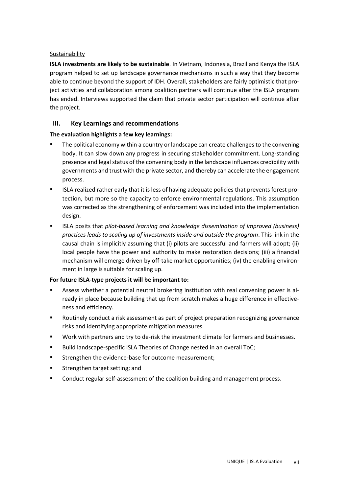#### Sustainability

**ISLA investments are likely to be sustainable**. In Vietnam, Indonesia, Brazil and Kenya the ISLA program helped to set up landscape governance mechanisms in such a way that they become able to continue beyond the support of IDH. Overall, stakeholders are fairly optimistic that project activities and collaboration among coalition partners will continue after the ISLA program has ended. Interviews supported the claim that private sector participation will continue after the project.

# **III. Key Learnings and recommendations**

# **The evaluation highlights a few key learnings:**

- The political economy within a country or landscape can create challenges to the convening body. It can slow down any progress in securing stakeholder commitment. Long-standing presence and legal status of the convening body in the landscape influences credibility with governments and trust with the private sector, and thereby can accelerate the engagement process.
- **■** ISLA realized rather early that it is less of having adequate policies that prevents forest protection, but more so the capacity to enforce environmental regulations. This assumption was corrected as the strengthening of enforcement was included into the implementation design.
- ISLA posits that *pilot-based learning and knowledge dissemination of improved (business) practices leads to scaling up of investments inside and outside the program*. This link in the causal chain is implicitly assuming that (i) pilots are successful and farmers will adopt; (ii) local people have the power and authority to make restoration decisions; (iii) a financial mechanism will emerge driven by off-take market opportunities; (iv) the enabling environment in large is suitable for scaling up.

# **For future ISLA-type projects it will be important to:**

- Assess whether a potential neutral brokering institution with real convening power is already in place because building that up from scratch makes a huge difference in effectiveness and efficiency.
- Routinely conduct a risk assessment as part of project preparation recognizing governance risks and identifying appropriate mitigation measures.
- Work with partners and try to de-risk the investment climate for farmers and businesses.
- Build landscape-specific ISLA Theories of Change nested in an overall ToC;
- Strengthen the evidence-base for outcome measurement;
- **EXECUTE:** Strengthen target setting; and
- Conduct regular self-assessment of the coalition building and management process.